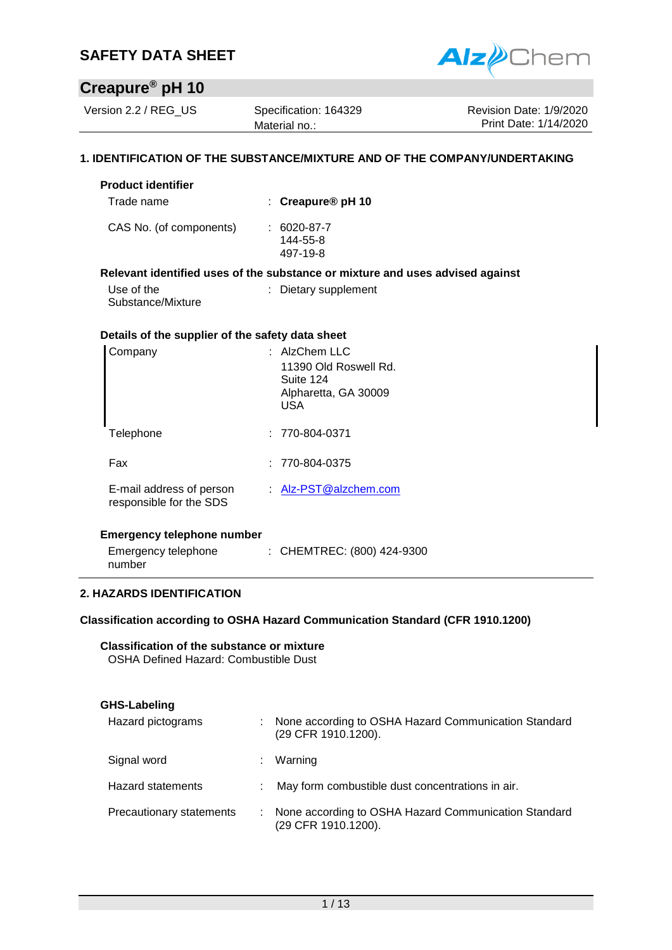

# **Creapure® pH 10**

Version 2.2 / REG US Specification: 164329

Material no.:

Revision Date: 1/9/2020 Print Date: 1/14/2020

#### **1. IDENTIFICATION OF THE SUBSTANCE/MIXTURE AND OF THE COMPANY/UNDERTAKING**

| <b>Product identifier</b>                        |                                                                                      |
|--------------------------------------------------|--------------------------------------------------------------------------------------|
| Trade name                                       | : Creapure <sup>®</sup> pH 10                                                        |
| CAS No. (of components)                          | $: 6020 - 87 - 7$<br>144-55-8<br>497-19-8                                            |
|                                                  | Relevant identified uses of the substance or mixture and uses advised against        |
| Use of the<br>Substance/Mixture                  | : Dietary supplement                                                                 |
| Details of the supplier of the safety data sheet |                                                                                      |
| Company                                          | $:$ AlzChem LLC<br>11390 Old Roswell Rd.<br>Suite 124<br>Alpharetta, GA 30009<br>USA |
| Telephone                                        | $: 770-804-0371$                                                                     |
| Fax                                              | 770-804-0375                                                                         |

| E-mail address of person | Alz-PST@alzchem.com |
|--------------------------|---------------------|
| responsible for the SDS  |                     |

#### **Emergency telephone number**

| Emergency telephone | : CHEMTREC: (800) 424-9300 |
|---------------------|----------------------------|
| number              |                            |

#### **2. HAZARDS IDENTIFICATION**

#### **Classification according to OSHA Hazard Communication Standard (CFR 1910.1200)**

**Classification of the substance or mixture** OSHA Defined Hazard: Combustible Dust

| GHS-Labeling             |   |                                                                               |
|--------------------------|---|-------------------------------------------------------------------------------|
| Hazard pictograms        |   | : None according to OSHA Hazard Communication Standard<br>(29 CFR 1910.1200). |
| Signal word              |   | Warning                                                                       |
| <b>Hazard statements</b> | ÷ | May form combustible dust concentrations in air.                              |
| Precautionary statements |   | : None according to OSHA Hazard Communication Standard<br>(29 CFR 1910.1200). |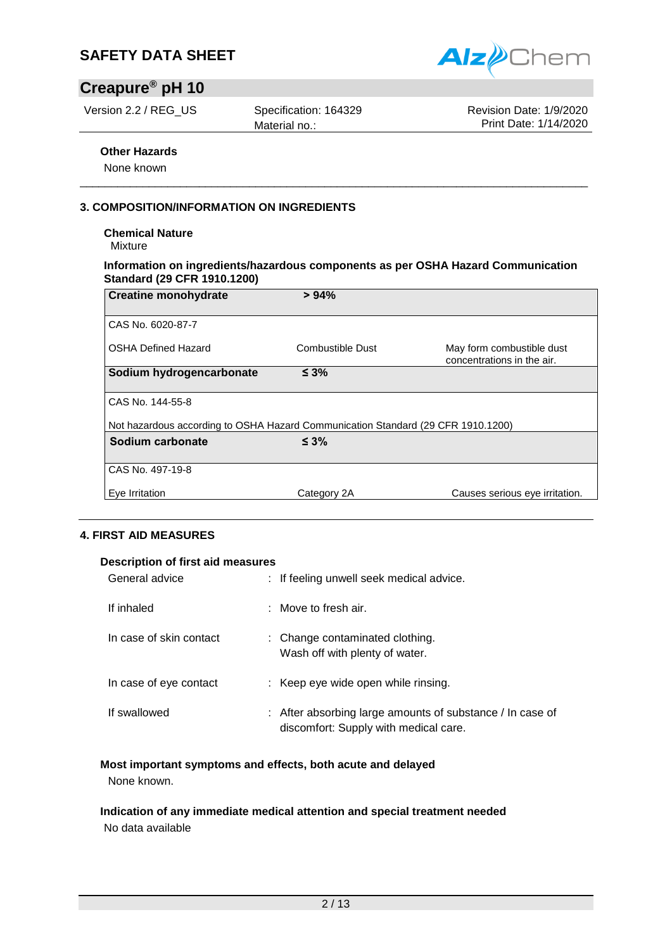

# **Creapure® pH 10**

Version 2.2 / REG US Specification: 164329

Material no.:

Revision Date: 1/9/2020 Print Date: 1/14/2020

#### **Other Hazards**

None known

#### **3. COMPOSITION/INFORMATION ON INGREDIENTS**

#### **Chemical Nature**

Mixture

#### **Information on ingredients/hazardous components as per OSHA Hazard Communication Standard (29 CFR 1910.1200)**

\_\_\_\_\_\_\_\_\_\_\_\_\_\_\_\_\_\_\_\_\_\_\_\_\_\_\_\_\_\_\_\_\_\_\_\_\_\_\_\_\_\_\_\_\_\_\_\_\_\_\_\_\_\_\_\_\_\_\_\_\_\_\_\_\_\_\_\_\_\_\_\_\_\_\_\_\_\_\_\_\_

| <b>Creatine monohydrate</b>                                                      | > 94%            |                                                         |
|----------------------------------------------------------------------------------|------------------|---------------------------------------------------------|
| CAS No. 6020-87-7                                                                |                  |                                                         |
| <b>OSHA Defined Hazard</b>                                                       | Combustible Dust | May form combustible dust<br>concentrations in the air. |
| Sodium hydrogencarbonate                                                         | $\leq 3\%$       |                                                         |
| CAS No. 144-55-8                                                                 |                  |                                                         |
| Not hazardous according to OSHA Hazard Communication Standard (29 CFR 1910.1200) |                  |                                                         |
| Sodium carbonate                                                                 | $\leq 3\%$       |                                                         |
| CAS No. 497-19-8                                                                 |                  |                                                         |
| Eve Irritation                                                                   | Category 2A      | Causes serious eye irritation.                          |

#### **4. FIRST AID MEASURES**

#### **Description of first aid measures**

| General advice          | : If feeling unwell seek medical advice.                                                           |
|-------------------------|----------------------------------------------------------------------------------------------------|
| If inhaled              | $:$ Move to fresh air.                                                                             |
| In case of skin contact | : Change contaminated clothing.<br>Wash off with plenty of water.                                  |
| In case of eye contact  | : Keep eye wide open while rinsing.                                                                |
| If swallowed            | : After absorbing large amounts of substance / In case of<br>discomfort: Supply with medical care. |

#### **Most important symptoms and effects, both acute and delayed**

None known.

#### **Indication of any immediate medical attention and special treatment needed** No data available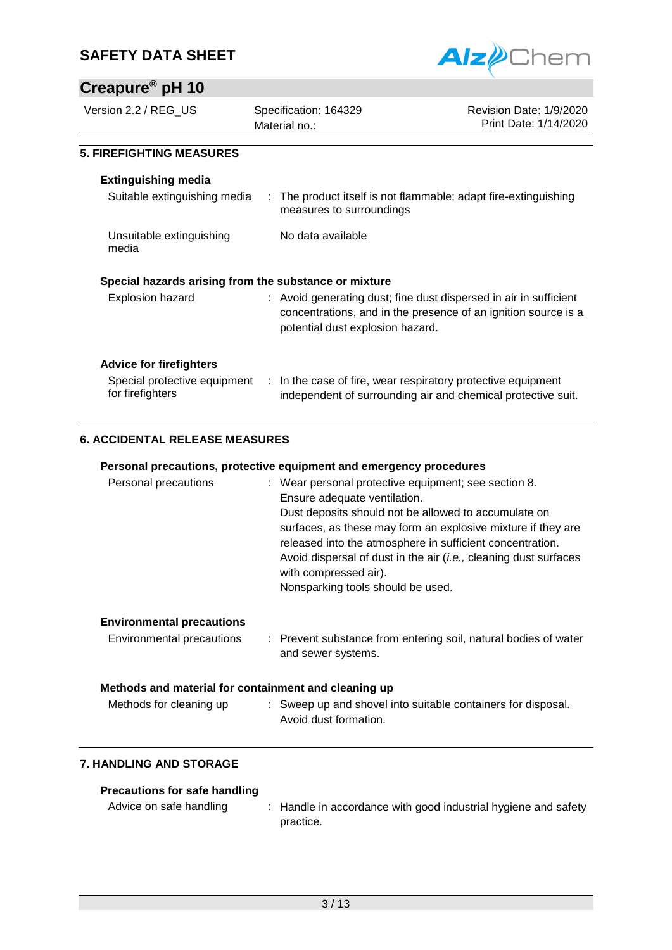# **Creapure® pH 10**



| Creapure pH 10                                        |                                                                                             |                                                                                                                                     |
|-------------------------------------------------------|---------------------------------------------------------------------------------------------|-------------------------------------------------------------------------------------------------------------------------------------|
| Version 2.2 / REG_US                                  | Specification: 164329<br>Material no.:                                                      | Revision Date: 1/9/2020<br>Print Date: 1/14/2020                                                                                    |
| <b>5. FIREFIGHTING MEASURES</b>                       |                                                                                             |                                                                                                                                     |
| <b>Extinguishing media</b>                            |                                                                                             |                                                                                                                                     |
| Suitable extinguishing media                          | : The product itself is not flammable; adapt fire-extinguishing<br>measures to surroundings |                                                                                                                                     |
| Unsuitable extinguishing<br>media                     | No data available                                                                           |                                                                                                                                     |
| Special hazards arising from the substance or mixture |                                                                                             |                                                                                                                                     |
| <b>Explosion hazard</b>                               | potential dust explosion hazard.                                                            | : Avoid generating dust; fine dust dispersed in air in sufficient<br>concentrations, and in the presence of an ignition source is a |
| <b>Advice for firefighters</b>                        |                                                                                             |                                                                                                                                     |
| Special protective equipment<br>for firefighters      | : In the case of fire, wear respiratory protective equipment                                | independent of surrounding air and chemical protective suit.                                                                        |

#### **6. ACCIDENTAL RELEASE MEASURES**

#### **Personal precautions, protective equipment and emergency procedures**

| Personal precautions             | : Wear personal protective equipment; see section 8.<br>Ensure adequate ventilation.<br>Dust deposits should not be allowed to accumulate on<br>surfaces, as these may form an explosive mixture if they are<br>released into the atmosphere in sufficient concentration.<br>Avoid dispersal of dust in the air <i>(i.e., cleaning dust surfaces</i><br>with compressed air).<br>Nonsparking tools should be used. |
|----------------------------------|--------------------------------------------------------------------------------------------------------------------------------------------------------------------------------------------------------------------------------------------------------------------------------------------------------------------------------------------------------------------------------------------------------------------|
| <b>Environmental precautions</b> |                                                                                                                                                                                                                                                                                                                                                                                                                    |

| Environmental precautions | : Prevent substance from entering soil, natural bodies of water |
|---------------------------|-----------------------------------------------------------------|
|                           | and sewer systems.                                              |

#### **Methods and material for containment and cleaning up**

| Methods for cleaning up | Sweep up and shovel into suitable containers for disposal. |
|-------------------------|------------------------------------------------------------|
|                         | Avoid dust formation.                                      |

#### **7. HANDLING AND STORAGE**

#### **Precautions for safe handling**

Advice on safe handling : Handle in accordance with good industrial hygiene and safety practice.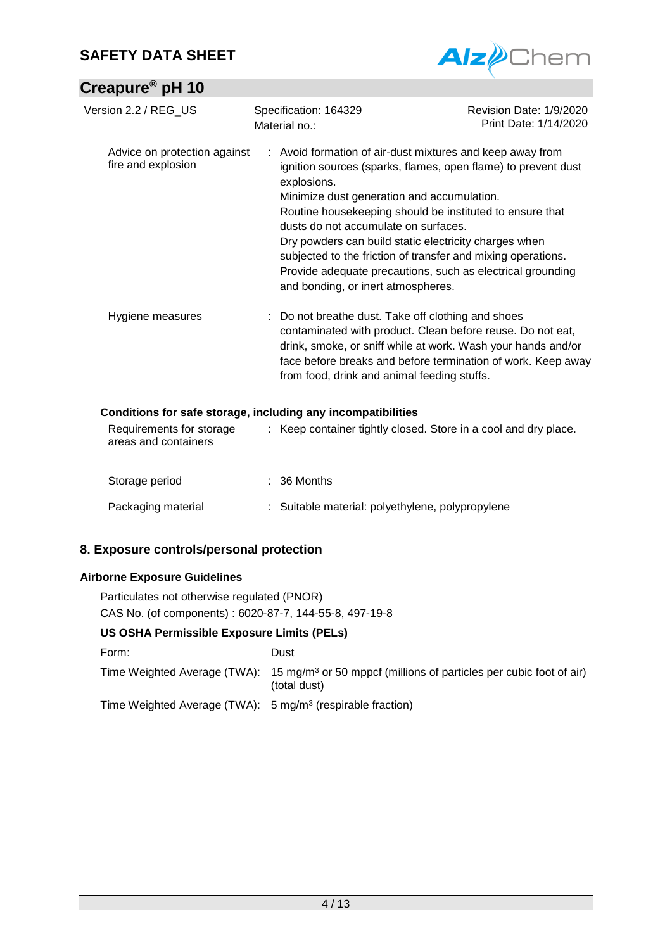# **Creapure® pH 10**



| Version 2.2 / REG US                               | Specification: 164329<br>Material no.:                                                                                                                                                                                                                                                                                                                                                                                                                  | Revision Date: 1/9/2020<br>Print Date: 1/14/2020                                                                             |
|----------------------------------------------------|---------------------------------------------------------------------------------------------------------------------------------------------------------------------------------------------------------------------------------------------------------------------------------------------------------------------------------------------------------------------------------------------------------------------------------------------------------|------------------------------------------------------------------------------------------------------------------------------|
| Advice on protection against<br>fire and explosion | : Avoid formation of air-dust mixtures and keep away from<br>explosions.<br>Minimize dust generation and accumulation.<br>Routine housekeeping should be instituted to ensure that<br>dusts do not accumulate on surfaces.<br>Dry powders can build static electricity charges when<br>subjected to the friction of transfer and mixing operations.<br>Provide adequate precautions, such as electrical grounding<br>and bonding, or inert atmospheres. | ignition sources (sparks, flames, open flame) to prevent dust                                                                |
| Hygiene measures                                   | Do not breathe dust. Take off clothing and shoes<br>contaminated with product. Clean before reuse. Do not eat,<br>from food, drink and animal feeding stuffs.                                                                                                                                                                                                                                                                                           | drink, smoke, or sniff while at work. Wash your hands and/or<br>face before breaks and before termination of work. Keep away |
| Requirements for storage<br>areas and containers   | Conditions for safe storage, including any incompatibilities<br>: Keep container tightly closed. Store in a cool and dry place.                                                                                                                                                                                                                                                                                                                         |                                                                                                                              |
| Storage period                                     | $: 36$ Months                                                                                                                                                                                                                                                                                                                                                                                                                                           |                                                                                                                              |
| Packaging material                                 | Suitable material: polyethylene, polypropylene                                                                                                                                                                                                                                                                                                                                                                                                          |                                                                                                                              |

### **8. Exposure controls/personal protection**

#### **Airborne Exposure Guidelines**

Particulates not otherwise regulated (PNOR) CAS No. (of components) : 6020-87-7, 144-55-8, 497-19-8

#### **US OSHA Permissible Exposure Limits (PELs)**

| Form:                                                                 | Dust                                                                                                                        |
|-----------------------------------------------------------------------|-----------------------------------------------------------------------------------------------------------------------------|
|                                                                       | Time Weighted Average (TWA): 15 mg/m <sup>3</sup> or 50 mppcf (millions of particles per cubic foot of air)<br>(total dust) |
| Time Weighted Average (TWA): $5 \text{ mg/m}^3$ (respirable fraction) |                                                                                                                             |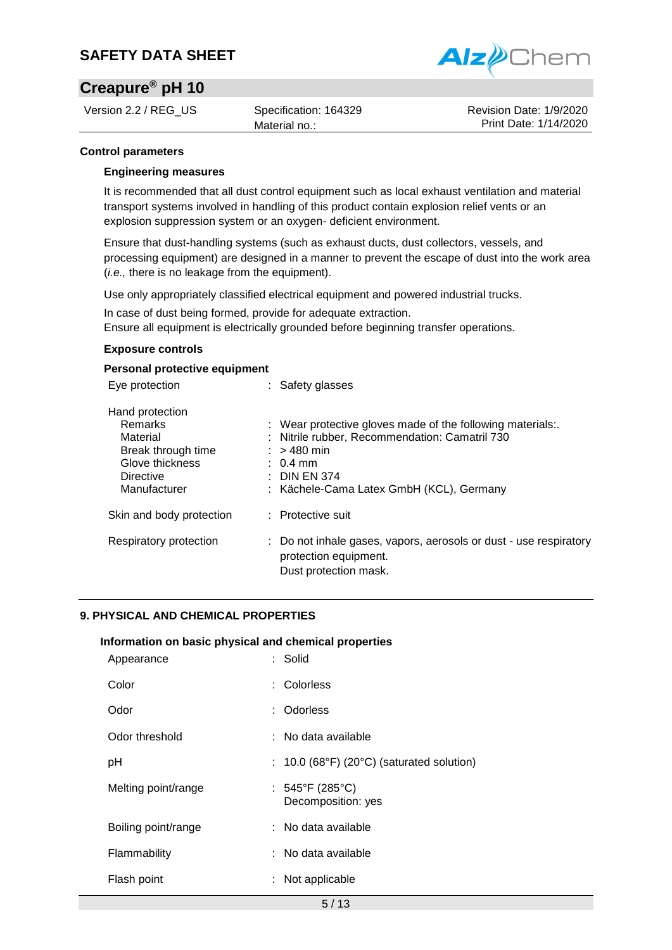

## **Creapure® pH 10**

Version 2.2 / REG US Specification: 164329

Material no.:

Revision Date: 1/9/2020 Print Date: 1/14/2020

#### **Control parameters**

#### **Engineering measures**

It is recommended that all dust control equipment such as local exhaust ventilation and material transport systems involved in handling of this product contain explosion relief vents or an explosion suppression system or an oxygen- deficient environment.

Ensure that dust-handling systems (such as exhaust ducts, dust collectors, vessels, and processing equipment) are designed in a manner to prevent the escape of dust into the work area (*i.e.,* there is no leakage from the equipment).

Use only appropriately classified electrical equipment and powered industrial trucks.

In case of dust being formed, provide for adequate extraction.

Ensure all equipment is electrically grounded before beginning transfer operations.

#### **Exposure controls**

#### **Personal protective equipment**

| Eye protection                                                                                               | : Safety glasses                                                                                                                                                                                                   |
|--------------------------------------------------------------------------------------------------------------|--------------------------------------------------------------------------------------------------------------------------------------------------------------------------------------------------------------------|
| Hand protection<br>Remarks<br>Material<br>Break through time<br>Glove thickness<br>Directive<br>Manufacturer | : Wear protective gloves made of the following materials<br>: Nitrile rubber, Recommendation: Camatril 730<br>$:$ > 480 min<br>$\therefore$ 0.4 mm<br>$\pm$ DIN EN 374<br>: Kächele-Cama Latex GmbH (KCL), Germany |
| Skin and body protection                                                                                     | : Protective suit                                                                                                                                                                                                  |
| Respiratory protection                                                                                       | : Do not inhale gases, vapors, aerosols or dust - use respiratory<br>protection equipment.<br>Dust protection mask.                                                                                                |

#### **9. PHYSICAL AND CHEMICAL PROPERTIES**

#### **Information on basic physical and chemical properties**

| Appearance          | : Solid                                     |
|---------------------|---------------------------------------------|
| Color               | : Colorless                                 |
| Odor                | : Odorless                                  |
| Odor threshold      | : No data available                         |
| рH                  | : $10.0$ (68°F) (20°C) (saturated solution) |
| Melting point/range | : 545°F (285°C)<br>Decomposition: yes       |
| Boiling point/range | : No data available                         |
| Flammability        | : No data available                         |
| Flash point         | Not applicable                              |
|                     |                                             |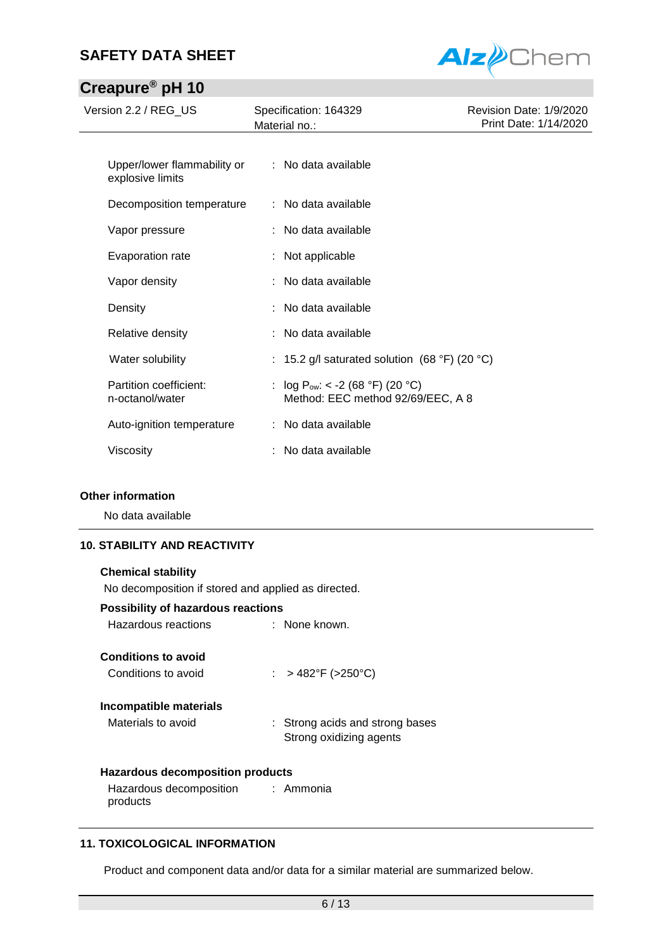# **Creapure® pH 10**



| $-$ - $   -$                              |                                                                           |                                                  |
|-------------------------------------------|---------------------------------------------------------------------------|--------------------------------------------------|
| Version 2.2 / REG_US                      | Specification: 164329<br>Material no.:                                    | Revision Date: 1/9/2020<br>Print Date: 1/14/2020 |
| Upper/lower flammability or               | : No data available                                                       |                                                  |
| explosive limits                          |                                                                           |                                                  |
| Decomposition temperature                 | : No data available                                                       |                                                  |
| Vapor pressure                            | No data available                                                         |                                                  |
| Evaporation rate                          | : Not applicable                                                          |                                                  |
| Vapor density                             | : No data available                                                       |                                                  |
| Density                                   | No data available                                                         |                                                  |
| Relative density                          | No data available                                                         |                                                  |
| Water solubility                          | : 15.2 g/l saturated solution (68 °F) (20 °C)                             |                                                  |
| Partition coefficient:<br>n-octanol/water | : $log P_{ow}: < -2 (68 °F) (20 °C)$<br>Method: EEC method 92/69/EEC, A 8 |                                                  |
| Auto-ignition temperature                 | : No data available                                                       |                                                  |
| Viscosity                                 | No data available                                                         |                                                  |

#### **Other information**

No data available

#### **10. STABILITY AND REACTIVITY**

| <b>Chemical stability</b>                           |                                                            |  |  |
|-----------------------------------------------------|------------------------------------------------------------|--|--|
| No decomposition if stored and applied as directed. |                                                            |  |  |
| <b>Possibility of hazardous reactions</b>           |                                                            |  |  |
| Hazardous reactions                                 | $:$ None known.                                            |  |  |
| <b>Conditions to avoid</b>                          |                                                            |  |  |
| Conditions to avoid                                 | : > 482°F (>250°C)                                         |  |  |
| Incompatible materials                              |                                                            |  |  |
| Materials to avoid                                  | : Strong acids and strong bases<br>Strong oxidizing agents |  |  |
| Hazardous decomposition products                    |                                                            |  |  |
| Hazardous decomposition : Ammonia                   |                                                            |  |  |

#### **11. TOXICOLOGICAL INFORMATION**

products

Product and component data and/or data for a similar material are summarized below.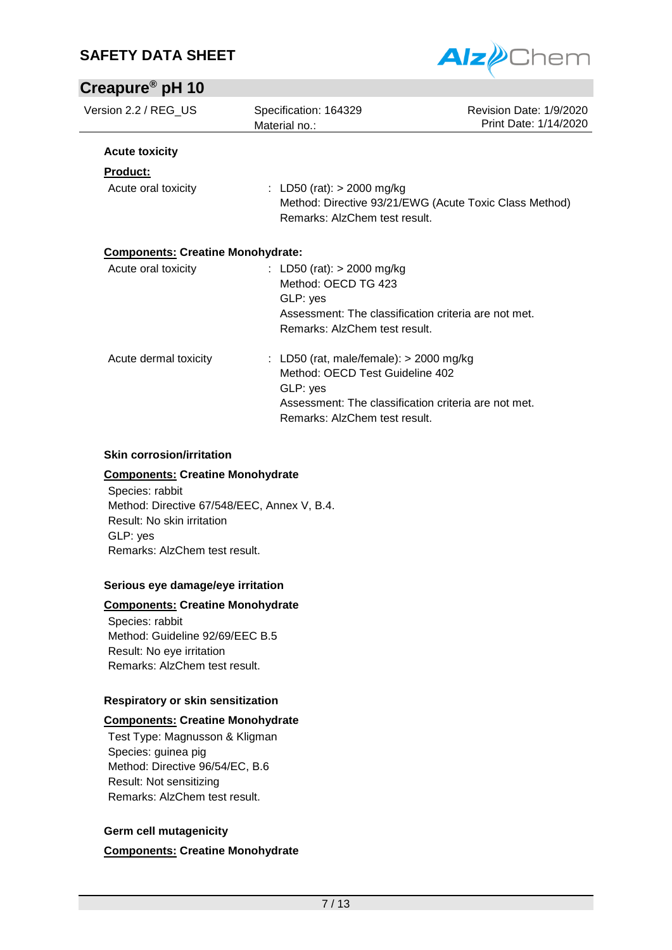

# **Creapure® pH 10**

| Version 2.2 / REG_US                     | Specification: 164329<br>Material no.:                                                                                                                                            | Revision Date: 1/9/2020<br>Print Date: 1/14/2020       |
|------------------------------------------|-----------------------------------------------------------------------------------------------------------------------------------------------------------------------------------|--------------------------------------------------------|
| <b>Acute toxicity</b>                    |                                                                                                                                                                                   |                                                        |
| <b>Product:</b>                          |                                                                                                                                                                                   |                                                        |
| Acute oral toxicity                      | : LD50 (rat): $> 2000$ mg/kg<br>Remarks: AlzChem test result.                                                                                                                     | Method: Directive 93/21/EWG (Acute Toxic Class Method) |
| <b>Components: Creatine Monohydrate:</b> |                                                                                                                                                                                   |                                                        |
| Acute oral toxicity                      | : LD50 (rat): $>$ 2000 mg/kg<br>Method: OECD TG 423<br>GLP: yes<br>Assessment: The classification criteria are not met.<br>Remarks: AlzChem test result.                          |                                                        |
| Acute dermal toxicity                    | : LD50 (rat, male/female): $>$ 2000 mg/kg<br>Method: OECD Test Guideline 402<br>GLP: yes<br>Assessment: The classification criteria are not met.<br>Remarks: AlzChem test result. |                                                        |

#### **Skin corrosion/irritation**

#### **Components: Creatine Monohydrate**

Species: rabbit Method: Directive 67/548/EEC, Annex V, B.4. Result: No skin irritation GLP: yes Remarks: AlzChem test result.

#### **Serious eye damage/eye irritation**

#### **Components: Creatine Monohydrate**

Species: rabbit Method: Guideline 92/69/EEC B.5 Result: No eye irritation Remarks: AlzChem test result.

#### **Respiratory or skin sensitization**

#### **Components: Creatine Monohydrate**

Test Type: Magnusson & Kligman Species: guinea pig Method: Directive 96/54/EC, B.6 Result: Not sensitizing Remarks: AlzChem test result.

#### **Germ cell mutagenicity**

**Components: Creatine Monohydrate**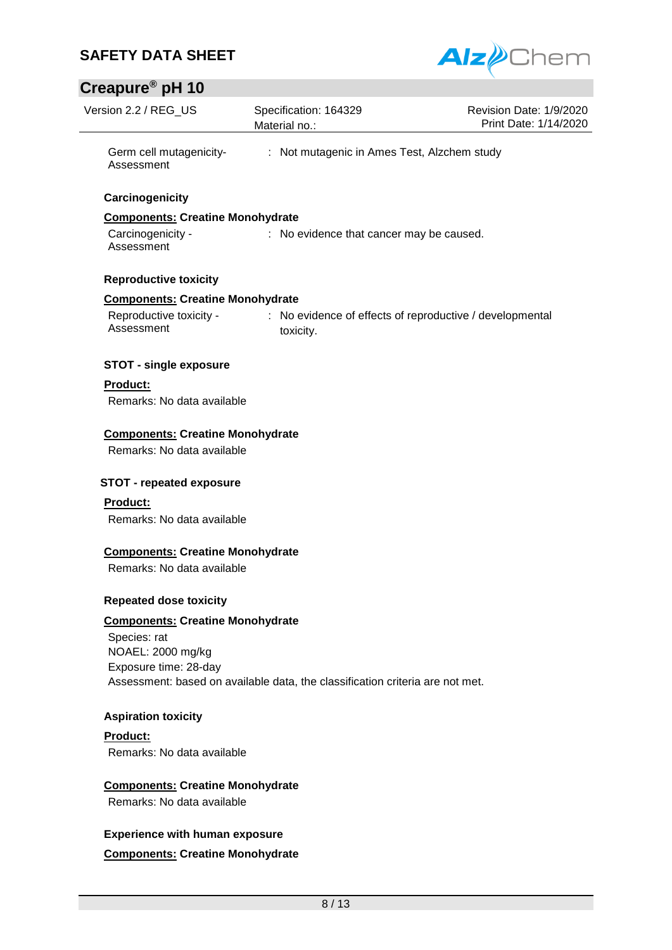

## **Creapure® pH 10**

| Creapure <sup>®</sup> pH 10                                           |                                                                               |                                                  |
|-----------------------------------------------------------------------|-------------------------------------------------------------------------------|--------------------------------------------------|
| Version 2.2 / REG_US                                                  | Specification: 164329<br>Material no.:                                        | Revision Date: 1/9/2020<br>Print Date: 1/14/2020 |
| Germ cell mutagenicity-<br>Assessment                                 | : Not mutagenic in Ames Test, Alzchem study                                   |                                                  |
| Carcinogenicity                                                       |                                                                               |                                                  |
| <b>Components: Creatine Monohydrate</b>                               |                                                                               |                                                  |
| Carcinogenicity -<br>Assessment                                       | : No evidence that cancer may be caused.                                      |                                                  |
| <b>Reproductive toxicity</b>                                          |                                                                               |                                                  |
| <b>Components: Creatine Monohydrate</b>                               |                                                                               |                                                  |
| Reproductive toxicity -<br>Assessment                                 | : No evidence of effects of reproductive / developmental<br>toxicity.         |                                                  |
| <b>STOT - single exposure</b>                                         |                                                                               |                                                  |
| <b>Product:</b>                                                       |                                                                               |                                                  |
| Remarks: No data available                                            |                                                                               |                                                  |
| <b>Components: Creatine Monohydrate</b><br>Remarks: No data available |                                                                               |                                                  |
| <b>STOT - repeated exposure</b>                                       |                                                                               |                                                  |
| <b>Product:</b>                                                       |                                                                               |                                                  |
| Remarks: No data available                                            |                                                                               |                                                  |
| <b>Components: Creatine Monohydrate</b>                               |                                                                               |                                                  |
| Remarks: No data available                                            |                                                                               |                                                  |
| <b>Repeated dose toxicity</b>                                         |                                                                               |                                                  |
| <b>Components: Creatine Monohydrate</b>                               |                                                                               |                                                  |
| Species: rat                                                          |                                                                               |                                                  |
| NOAEL: 2000 mg/kg                                                     |                                                                               |                                                  |
| Exposure time: 28-day                                                 |                                                                               |                                                  |
|                                                                       | Assessment: based on available data, the classification criteria are not met. |                                                  |
| <b>Aspiration toxicity</b>                                            |                                                                               |                                                  |
| Product:                                                              |                                                                               |                                                  |
| Remarks: No data available                                            |                                                                               |                                                  |
| <b>Components: Creatine Monohydrate</b>                               |                                                                               |                                                  |
| Remarks: No data available                                            |                                                                               |                                                  |
| <b>Experience with human exposure</b>                                 |                                                                               |                                                  |

**Components: Creatine Monohydrate**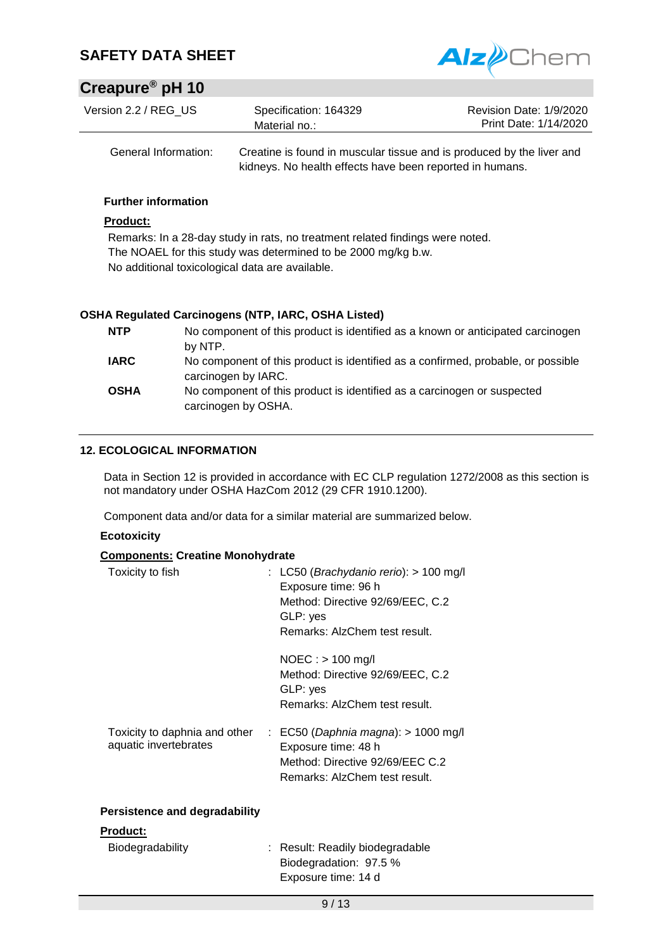

# **Creapure® pH 10**

| Version 2.2 / REG US | Specification: 164329<br>Material no.: | Revision Date: 1/9/2020<br>Print Date: 1/14/2020 |
|----------------------|----------------------------------------|--------------------------------------------------|
|                      |                                        |                                                  |

General Information: Creatine is found in muscular tissue and is produced by the liver and kidneys. No health effects have been reported in humans.

#### **Further information**

#### **Product:**

Remarks: In a 28-day study in rats, no treatment related findings were noted. The NOAEL for this study was determined to be 2000 mg/kg b.w. No additional toxicological data are available.

#### **OSHA Regulated Carcinogens (NTP, IARC, OSHA Listed)**

| <b>NTP</b>  | No component of this product is identified as a known or anticipated carcinogen<br>by NTP.              |
|-------------|---------------------------------------------------------------------------------------------------------|
| <b>IARC</b> | No component of this product is identified as a confirmed, probable, or possible<br>carcinogen by IARC. |
| <b>OSHA</b> | No component of this product is identified as a carcinogen or suspected<br>carcinogen by OSHA.          |

#### **12. ECOLOGICAL INFORMATION**

Data in Section 12 is provided in accordance with EC CLP regulation 1272/2008 as this section is not mandatory under OSHA HazCom 2012 (29 CFR 1910.1200).

Component data and/or data for a similar material are summarized below.

#### **Ecotoxicity**

#### **Components: Creatine Monohydrate**

| Toxicity to fish                                       | : LC50 ( <i>Brachydanio rerio</i> ): $> 100$ mg/l<br>Exposure time: 96 h<br>Method: Directive 92/69/EEC, C.2<br>GLP: yes<br>Remarks: AlzChem test result. |
|--------------------------------------------------------|-----------------------------------------------------------------------------------------------------------------------------------------------------------|
|                                                        | $NOEC:$ > 100 mg/l<br>Method: Directive 92/69/EEC, C.2<br>GLP: yes<br>Remarks: AlzChem test result.                                                       |
| Toxicity to daphnia and other<br>aquatic invertebrates | $\therefore$ EC50 (Daphnia magna): > 1000 mg/l<br>Exposure time: 48 h<br>Method: Directive 92/69/EEC C.2<br>Remarks: AlzChem test result.                 |
| <b>Persistence and degradability</b>                   |                                                                                                                                                           |
| Product:                                               |                                                                                                                                                           |

| Biodegradability | : Result: Readily biodegradable |
|------------------|---------------------------------|
|                  | Biodegradation: 97.5 %          |
|                  | Exposure time: 14 d             |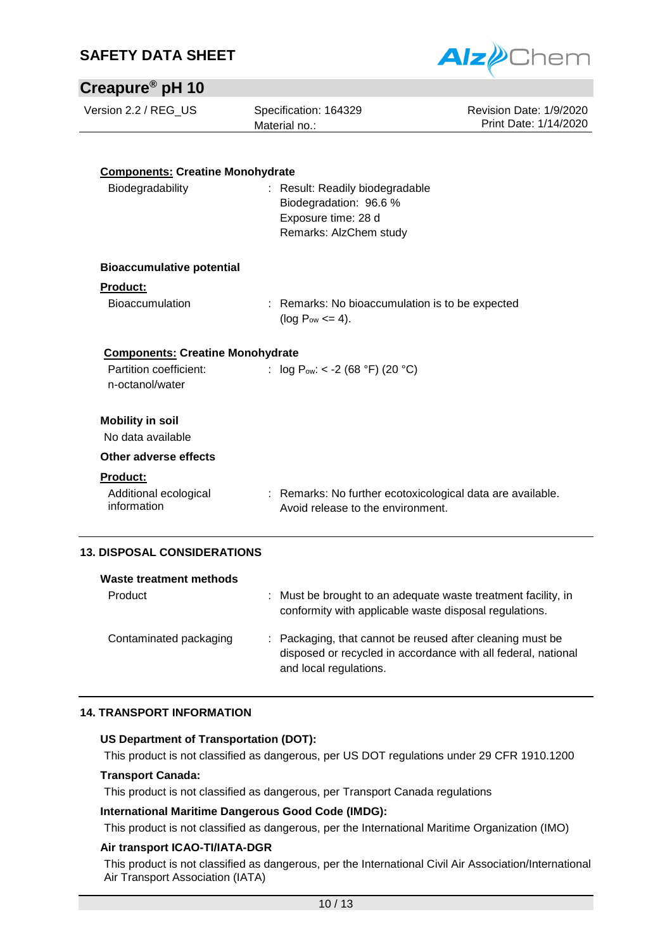

### **Creapure® pH 10**

| Version 2.2 / REG US |  |
|----------------------|--|
|----------------------|--|

Specification: 164329 Material no.:

Revision Date: 1/9/2020 Print Date: 1/14/2020

| <b>Components: Creatine Monohydrate</b> |                                                                            |
|-----------------------------------------|----------------------------------------------------------------------------|
| Biodegradability                        | : Result: Readily biodegradable                                            |
|                                         | Biodegradation: 96.6 %                                                     |
|                                         | Exposure time: 28 d                                                        |
|                                         | Remarks: AlzChem study                                                     |
| <b>Bioaccumulative potential</b>        |                                                                            |
| <b>Product:</b>                         |                                                                            |
| <b>Bioaccumulation</b>                  | : Remarks: No bioaccumulation is to be expected<br>( $log P_{ow} \le 4$ ). |
| <b>Components: Creatine Monohydrate</b> |                                                                            |
| Partition coefficient:                  | : $log P_{ow}: < -2 (68 °F) (20 °C)$                                       |
| n-octanol/water                         |                                                                            |
| <b>Mobility in soil</b>                 |                                                                            |
| No data available                       |                                                                            |
| Other adverse effects                   |                                                                            |
| <b>Product:</b>                         |                                                                            |
| Additional ecological                   | : Remarks: No further ecotoxicological data are available.                 |
| information                             | Avoid release to the environment.                                          |
| <b>13. DISPOSAL CONSIDERATIONS</b>      |                                                                            |
| Waste treatment methods                 |                                                                            |
| Product                                 | : Must be brought to an adequate waste treatment facility, in              |

conformity with applicable waste disposal regulations. Contaminated packaging : Packaging, that cannot be reused after cleaning must be disposed or recycled in accordance with all federal, national and local regulations.

#### **14. TRANSPORT INFORMATION**

#### **US Department of Transportation (DOT):**

This product is not classified as dangerous, per US DOT regulations under 29 CFR 1910.1200

#### **Transport Canada:**

This product is not classified as dangerous, per Transport Canada regulations

#### **International Maritime Dangerous Good Code (IMDG):**

This product is not classified as dangerous, per the International Maritime Organization (IMO)

#### **Air transport ICAO-TI/IATA-DGR**

This product is not classified as dangerous, per the International Civil Air Association/International Air Transport Association (IATA)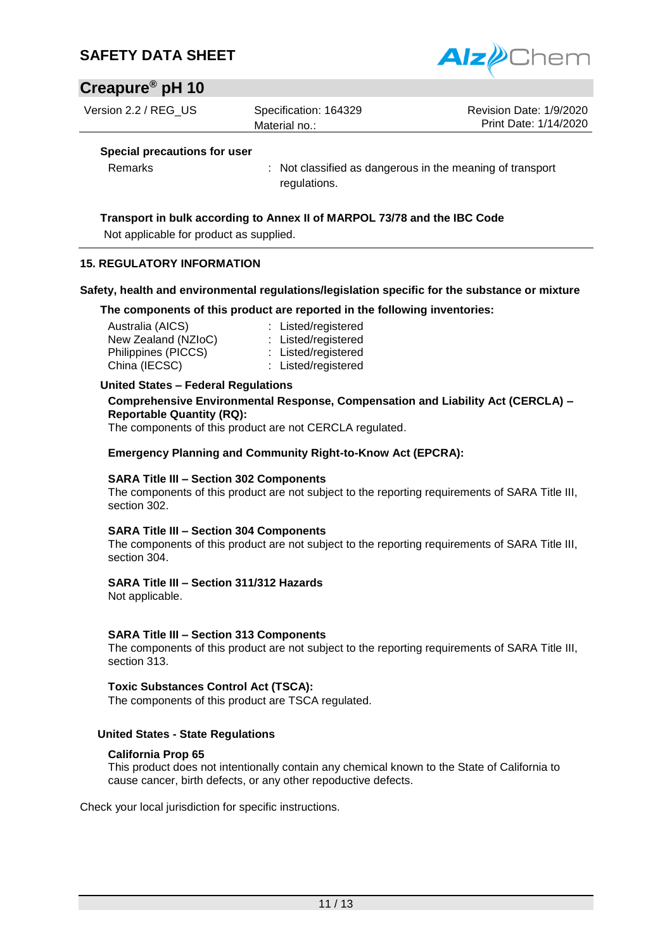## **Creapure® pH 10**

Version 2.2 / REG US Specification: 164329

Material no.:

Alz*e* 

Revision Date: 1/9/2020 Print Date: 1/14/2020

#### **Special precautions for user**

Remarks : Not classified as dangerous in the meaning of transport regulations.

#### **Transport in bulk according to Annex II of MARPOL 73/78 and the IBC Code**

Not applicable for product as supplied.

#### **15. REGULATORY INFORMATION**

#### **Safety, health and environmental regulations/legislation specific for the substance or mixture**

**The components of this product are reported in the following inventories:**

| Australia (AICS)    | : Listed/registered |
|---------------------|---------------------|
| New Zealand (NZIoC) | : Listed/registered |
| Philippines (PICCS) | : Listed/registered |
| China (IECSC)       | : Listed/registered |

#### **United States – Federal Regulations**

**Comprehensive Environmental Response, Compensation and Liability Act (CERCLA) – Reportable Quantity (RQ):**

The components of this product are not CERCLA regulated.

**Emergency Planning and Community Right-to-Know Act (EPCRA):**

#### **SARA Title III – Section 302 Components**

The components of this product are not subject to the reporting requirements of SARA Title III, section 302.

#### **SARA Title III – Section 304 Components**

The components of this product are not subject to the reporting requirements of SARA Title III, section 304.

#### **SARA Title III – Section 311/312 Hazards**

Not applicable.

#### **SARA Title III – Section 313 Components**

The components of this product are not subject to the reporting requirements of SARA Title III, section 313.

#### **Toxic Substances Control Act (TSCA):**

The components of this product are TSCA regulated.

#### **United States - State Regulations**

#### **California Prop 65**

This product does not intentionally contain any chemical known to the State of California to cause cancer, birth defects, or any other repoductive defects.

Check your local jurisdiction for specific instructions.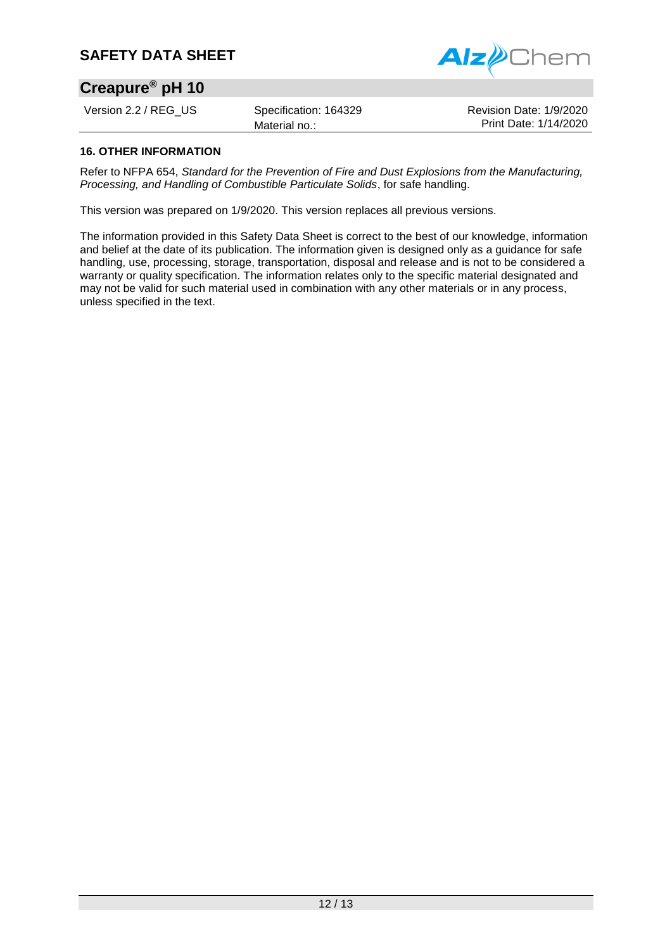

## **Creapure® pH 10**

Version 2.2 / REG US Specification: 164329

Revision Date: 1/9/2020 Print Date: 1/14/2020

#### **16. OTHER INFORMATION**

Refer to NFPA 654, *Standard for the Prevention of Fire and Dust Explosions from the Manufacturing, Processing, and Handling of Combustible Particulate Solids*, for safe handling.

This version was prepared on 1/9/2020. This version replaces all previous versions.

Material no.:

The information provided in this Safety Data Sheet is correct to the best of our knowledge, information and belief at the date of its publication. The information given is designed only as a guidance for safe handling, use, processing, storage, transportation, disposal and release and is not to be considered a warranty or quality specification. The information relates only to the specific material designated and may not be valid for such material used in combination with any other materials or in any process, unless specified in the text.